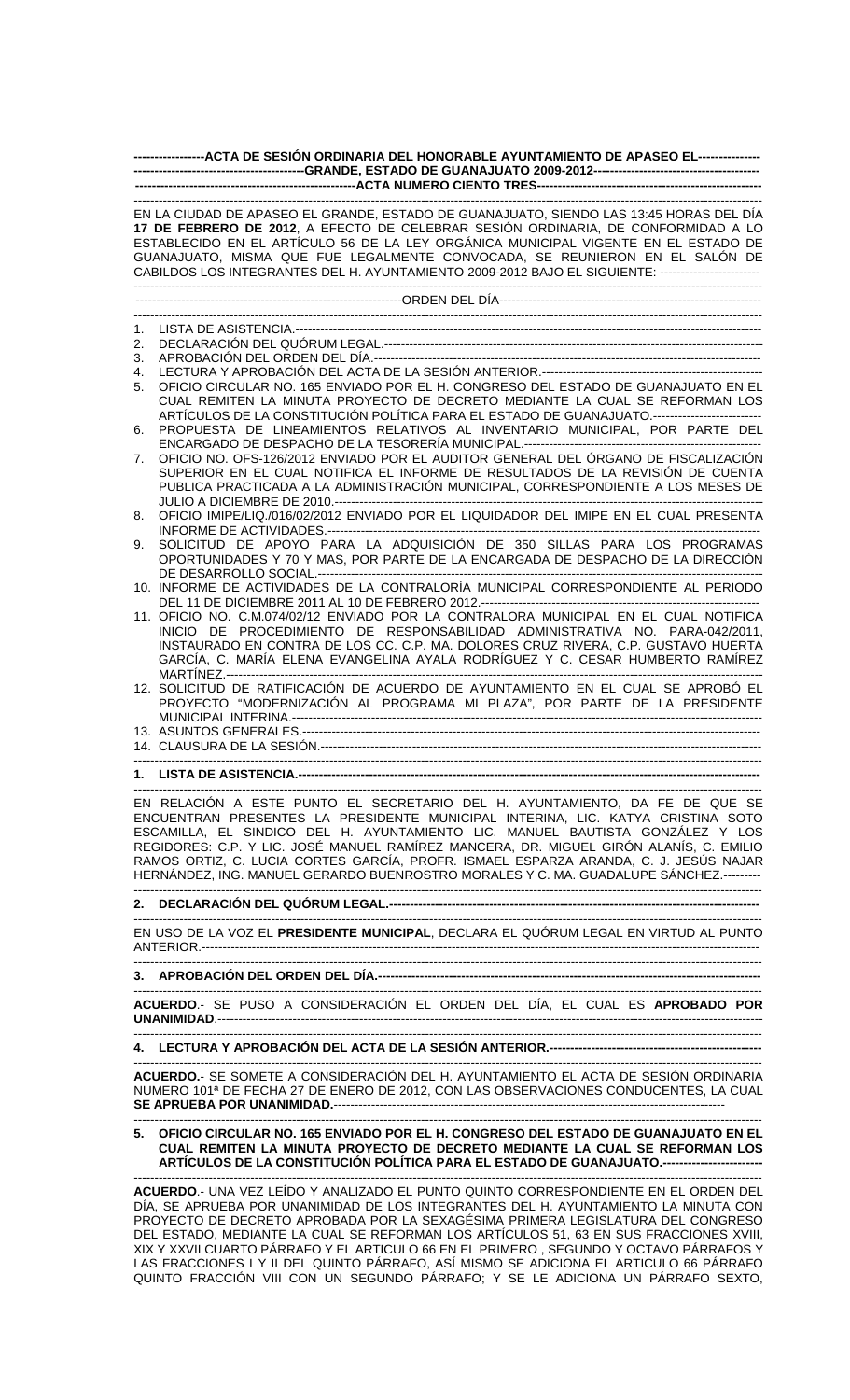| -----------------ACTA DE SESIÓN ORDINARIA DEL HONORABLE AYUNTAMIENTO DE APASEO EL----------------                                                                                                                                                                                                                                                                                                                                                                                                                           |                                                                                                                                                                                                                                                                                                                                                                                                                                                        |
|-----------------------------------------------------------------------------------------------------------------------------------------------------------------------------------------------------------------------------------------------------------------------------------------------------------------------------------------------------------------------------------------------------------------------------------------------------------------------------------------------------------------------------|--------------------------------------------------------------------------------------------------------------------------------------------------------------------------------------------------------------------------------------------------------------------------------------------------------------------------------------------------------------------------------------------------------------------------------------------------------|
|                                                                                                                                                                                                                                                                                                                                                                                                                                                                                                                             |                                                                                                                                                                                                                                                                                                                                                                                                                                                        |
|                                                                                                                                                                                                                                                                                                                                                                                                                                                                                                                             | EN LA CIUDAD DE APASEO EL GRANDE, ESTADO DE GUANAJUATO, SIENDO LAS 13:45 HORAS DEL DÍA<br>17 DE FEBRERO DE 2012, A EFECTO DE CELEBRAR SESIÓN ORDINARIA, DE CONFORMIDAD A LO<br>ESTABLECIDO EN EL ARTÍCULO 56 DE LA LEY ORGÁNICA MUNICIPAL VIGENTE EN EL ESTADO DE<br>GUANAJUATO, MISMA QUE FUE LEGALMENTE CONVOCADA, SE REUNIERON EN EL SALÓN DE<br>CABILDOS LOS INTEGRANTES DEL H. AYUNTAMIENTO 2009-2012 BAJO EL SIGUIENTE: ------------------------ |
|                                                                                                                                                                                                                                                                                                                                                                                                                                                                                                                             |                                                                                                                                                                                                                                                                                                                                                                                                                                                        |
|                                                                                                                                                                                                                                                                                                                                                                                                                                                                                                                             |                                                                                                                                                                                                                                                                                                                                                                                                                                                        |
| 1.                                                                                                                                                                                                                                                                                                                                                                                                                                                                                                                          |                                                                                                                                                                                                                                                                                                                                                                                                                                                        |
| 2.<br>3.                                                                                                                                                                                                                                                                                                                                                                                                                                                                                                                    |                                                                                                                                                                                                                                                                                                                                                                                                                                                        |
| 4.                                                                                                                                                                                                                                                                                                                                                                                                                                                                                                                          |                                                                                                                                                                                                                                                                                                                                                                                                                                                        |
| 5.                                                                                                                                                                                                                                                                                                                                                                                                                                                                                                                          | OFICIO CIRCULAR NO. 165 ENVIADO POR EL H. CONGRESO DEL ESTADO DE GUANAJUATO EN EL<br>CUAL REMITEN LA MINUTA PROYECTO DE DECRETO MEDIANTE LA CUAL SE REFORMAN LOS<br>ARTÍCULOS DE LA CONSTITUCIÓN POLÍTICA PARA EL ESTADO DE GUANAJUATO.---------------------------<br>PROPUESTA DE LINEAMIENTOS RELATIVOS AL INVENTARIO MUNICIPAL, POR PARTE DEL                                                                                                       |
| 6.                                                                                                                                                                                                                                                                                                                                                                                                                                                                                                                          |                                                                                                                                                                                                                                                                                                                                                                                                                                                        |
| 7.                                                                                                                                                                                                                                                                                                                                                                                                                                                                                                                          | OFICIO NO. OFS-126/2012 ENVIADO POR EL AUDITOR GENERAL DEL ÓRGANO DE FISCALIZACIÓN<br>SUPERIOR EN EL CUAL NOTIFICA EL INFORME DE RESULTADOS DE LA REVISIÓN DE CUENTA<br>PUBLICA PRACTICADA A LA ADMINISTRACIÓN MUNICIPAL, CORRESPONDIENTE A LOS MESES DE                                                                                                                                                                                               |
| 8.                                                                                                                                                                                                                                                                                                                                                                                                                                                                                                                          | OFICIO IMIPE/LIQ./016/02/2012 ENVIADO POR EL LIQUIDADOR DEL IMIPE EN EL CUAL PRESENTA                                                                                                                                                                                                                                                                                                                                                                  |
| 9.                                                                                                                                                                                                                                                                                                                                                                                                                                                                                                                          | SOLICITUD DE APOYO PARA LA ADQUISICIÓN DE 350 SILLAS PARA LOS PROGRAMAS                                                                                                                                                                                                                                                                                                                                                                                |
|                                                                                                                                                                                                                                                                                                                                                                                                                                                                                                                             | OPORTUNIDADES Y 70 Y MAS, POR PARTE DE LA ENCARGADA DE DESPACHO DE LA DIRECCIÓN<br>10. INFORME DE ACTIVIDADES DE LA CONTRALORÍA MUNICIPAL CORRESPONDIENTE AL PERIODO                                                                                                                                                                                                                                                                                   |
|                                                                                                                                                                                                                                                                                                                                                                                                                                                                                                                             |                                                                                                                                                                                                                                                                                                                                                                                                                                                        |
|                                                                                                                                                                                                                                                                                                                                                                                                                                                                                                                             | 11. OFICIO NO. C.M.074/02/12 ENVIADO POR LA CONTRALORA MUNICIPAL EN EL CUAL NOTIFICA<br>INICIO DE PROCEDIMIENTO DE RESPONSABILIDAD ADMINISTRATIVA NO. PARA-042/2011,<br>INSTAURADO EN CONTRA DE LOS CC. C.P. MA. DOLORES CRUZ RIVERA, C.P. GUSTAVO HUERTA<br>GARCÍA, C. MARÍA ELENA EVANGELINA AYALA RODRÍGUEZ Y C. CESAR HUMBERTO RAMÍREZ                                                                                                             |
|                                                                                                                                                                                                                                                                                                                                                                                                                                                                                                                             | 12. SOLICITUD DE RATIFICACIÓN DE ACUERDO DE AYUNTAMIENTO EN EL CUAL SE APROBÓ EL<br>PROYECTO "MODERNIZACIÓN AL PROGRAMA MI PLAZA", POR PARTE DE LA PRESIDENTE                                                                                                                                                                                                                                                                                          |
|                                                                                                                                                                                                                                                                                                                                                                                                                                                                                                                             |                                                                                                                                                                                                                                                                                                                                                                                                                                                        |
|                                                                                                                                                                                                                                                                                                                                                                                                                                                                                                                             |                                                                                                                                                                                                                                                                                                                                                                                                                                                        |
|                                                                                                                                                                                                                                                                                                                                                                                                                                                                                                                             | 1.     LISTA DE ASISTENCIA.--------------------------                                                                                                                                                                                                                                                                                                                                                                                                  |
|                                                                                                                                                                                                                                                                                                                                                                                                                                                                                                                             |                                                                                                                                                                                                                                                                                                                                                                                                                                                        |
| EN RELACIÓN A ESTE PUNTO EL SECRETARIO DEL H. AYUNTAMIENTO, DA FE DE QUE SE<br>ENCUENTRAN PRESENTES LA PRESIDENTE MUNICIPAL INTERINA, LIC. KATYA CRISTINA SOTO<br>ESCAMILLA, EL SINDICO DEL H. AYUNTAMIENTO LIC. MANUEL BAUTISTA GONZÁLEZ Y LOS<br>REGIDORES: C.P. Y LIC. JOSÉ MANUEL RAMÍREZ MANCERA, DR. MIGUEL GIRÓN ALANÍS, C. EMILIO<br>RAMOS ORTIZ, C. LUCIA CORTES GARCÍA, PROFR. ISMAEL ESPARZA ARANDA, C. J. JESÚS NAJAR<br>HERNÁNDEZ, ING. MANUEL GERARDO BUENROSTRO MORALES Y C. MA. GUADALUPE SÁNCHEZ.--------- |                                                                                                                                                                                                                                                                                                                                                                                                                                                        |
|                                                                                                                                                                                                                                                                                                                                                                                                                                                                                                                             |                                                                                                                                                                                                                                                                                                                                                                                                                                                        |
|                                                                                                                                                                                                                                                                                                                                                                                                                                                                                                                             | EN USO DE LA VOZ EL PRESIDENTE MUNICIPAL, DECLARA EL QUÓRUM LEGAL EN VIRTUD AL PUNTO                                                                                                                                                                                                                                                                                                                                                                   |
|                                                                                                                                                                                                                                                                                                                                                                                                                                                                                                                             |                                                                                                                                                                                                                                                                                                                                                                                                                                                        |
|                                                                                                                                                                                                                                                                                                                                                                                                                                                                                                                             | ACUERDO.- SE PUSO A CONSIDERACIÓN EL ORDEN DEL DÍA, EL CUAL ES APROBADO POR                                                                                                                                                                                                                                                                                                                                                                            |
|                                                                                                                                                                                                                                                                                                                                                                                                                                                                                                                             |                                                                                                                                                                                                                                                                                                                                                                                                                                                        |
|                                                                                                                                                                                                                                                                                                                                                                                                                                                                                                                             | ACUERDO.- SE SOMETE A CONSIDERACIÓN DEL H. AYUNTAMIENTO EL ACTA DE SESIÓN ORDINARIA                                                                                                                                                                                                                                                                                                                                                                    |
|                                                                                                                                                                                                                                                                                                                                                                                                                                                                                                                             | NUMERO 101ª DE FECHA 27 DE ENERO DE 2012, CON LAS OBSERVACIONES CONDUCENTES, LA CUAL                                                                                                                                                                                                                                                                                                                                                                   |
|                                                                                                                                                                                                                                                                                                                                                                                                                                                                                                                             | OFICIO CIRCULAR NO. 165 ENVIADO POR EL H. CONGRESO DEL ESTADO DE GUANAJUATO EN EL<br>CUAL REMITEN LA MINUTA PROYECTO DE DECRETO MEDIANTE LA CUAL SE REFORMAN LOS<br>ARTÍCULOS DE LA CONSTITUCIÓN POLÍTICA PARA EL ESTADO DE GUANAJUATO.------------------------                                                                                                                                                                                        |
|                                                                                                                                                                                                                                                                                                                                                                                                                                                                                                                             | ACUERDO.- UNA VEZ LEÍDO Y ANALIZADO EL PUNTO QUINTO CORRESPONDIENTE EN EL ORDEN DEL                                                                                                                                                                                                                                                                                                                                                                    |
|                                                                                                                                                                                                                                                                                                                                                                                                                                                                                                                             | DÍA, SE APRUEBA POR UNANIMIDAD DE LOS INTEGRANTES DEL H. AYUNTAMIENTO LA MINUTA CON                                                                                                                                                                                                                                                                                                                                                                    |
|                                                                                                                                                                                                                                                                                                                                                                                                                                                                                                                             | PROYECTO DE DECRETO APROBADA POR LA SEXAGÉSIMA PRIMERA LEGISLATURA DEL CONGRESO<br>DEL ESTADO, MEDIANTE LA CUAL SE REFORMAN LOS ARTÍCULOS 51, 63 EN SUS FRACCIONES XVIII,                                                                                                                                                                                                                                                                              |
|                                                                                                                                                                                                                                                                                                                                                                                                                                                                                                                             | XIX Y XXVII CUARTO PÁRRAFO Y EL ARTICULO 66 EN EL PRIMERO, SEGUNDO Y OCTAVO PÁRRAFOS Y                                                                                                                                                                                                                                                                                                                                                                 |

LAS FRACCIONES I Y II DEL QUINTO PÁRRAFO, ASÍ MISMO SE ADICIONA EL ARTICULO 66 PÁRRAFO QUINTO FRACCIÓN VIII CON UN SEGUNDO PÁRRAFO; Y SE LE ADICIONA UN PÁRRAFO SEXTO,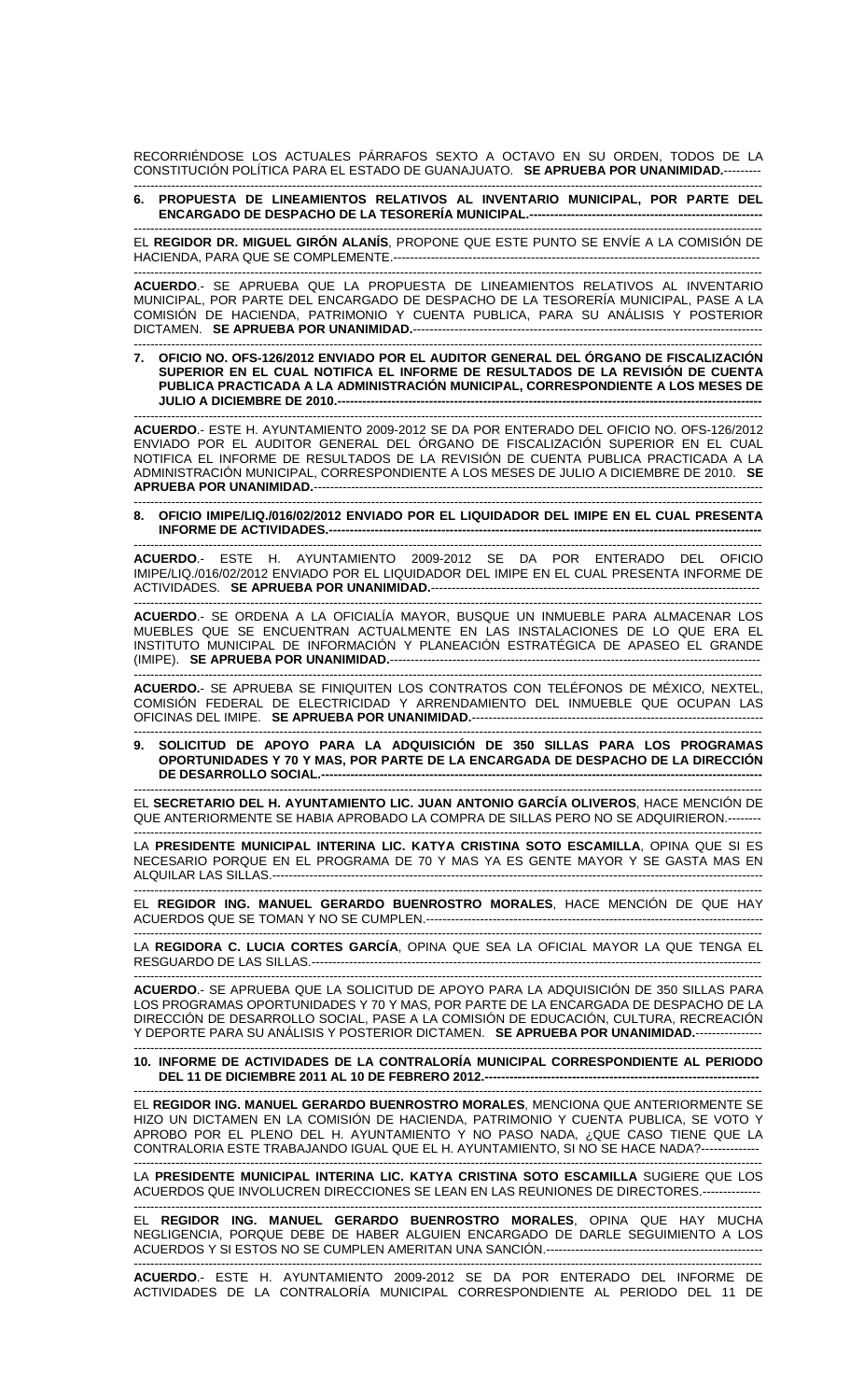RECORRIÉNDOSE LOS ACTUALES PÁRRAFOS SEXTO A OCTAVO EN SU ORDEN, TODOS DE LA CONSTITUCIÓN POLÍTICA PARA EL ESTADO DE GUANAJUATO. **SE APRUEBA POR UNANIMIDAD.**---------

## ------------------------------------------------------------------------------------------------------------------------------------------------------- **6. PROPUESTA DE LINEAMIENTOS RELATIVOS AL INVENTARIO MUNICIPAL, POR PARTE DEL ENCARGADO DE DESPACHO DE LA TESORERÍA MUNICIPAL.--------------------------------------------------------**

------------------------------------------------------------------------------------------------------------------------------------------------------- EL **REGIDOR DR. MIGUEL GIRÓN ALANÍS**, PROPONE QUE ESTE PUNTO SE ENVÍE A LA COMISIÓN DE HACIENDA, PARA QUE SE COMPLEMENTE.----------------------------------------------------------------------------------------

------------------------------------------------------------------------------------------------------------------------------------------------------- **ACUERDO**.- SE APRUEBA QUE LA PROPUESTA DE LINEAMIENTOS RELATIVOS AL INVENTARIO MUNICIPAL, POR PARTE DEL ENCARGADO DE DESPACHO DE LA TESORERÍA MUNICIPAL, PASE A LA COMISIÓN DE HACIENDA, PATRIMONIO Y CUENTA PUBLICA, PARA SU ANÁLISIS Y POSTERIOR DICTAMEN. **SE APRUEBA POR UNANIMIDAD.**------------------------------------------------------------------------------------ -------------------------------------------------------------------------------------------------------------------------------------------------------

**7. OFICIO NO. OFS-126/2012 ENVIADO POR EL AUDITOR GENERAL DEL ÓRGANO DE FISCALIZACIÓN SUPERIOR EN EL CUAL NOTIFICA EL INFORME DE RESULTADOS DE LA REVISIÓN DE CUENTA PUBLICA PRACTICADA A LA ADMINISTRACIÓN MUNICIPAL, CORRESPONDIENTE A LOS MESES DE JULIO A DICIEMBRE DE 2010.---**

------------------------------------------------------------------------------------------------------------------------------------------------------- **ACUERDO**.- ESTE H. AYUNTAMIENTO 2009-2012 SE DA POR ENTERADO DEL OFICIO NO. OFS-126/2012 ENVIADO POR EL AUDITOR GENERAL DEL ÓRGANO DE FISCALIZACIÓN SUPERIOR EN EL CUAL NOTIFICA EL INFORME DE RESULTADOS DE LA REVISIÓN DE CUENTA PUBLICA PRACTICADA A LA ADMINISTRACIÓN MUNICIPAL, CORRESPONDIENTE A LOS MESES DE JULIO A DICIEMBRE DE 2010. **SE APRUEBA POR UNANIMIDAD.**------------------------------------------------------------------------------------------------------------

------------------------------------------------------------------------------------------------------------------------------------------------------- **8. OFICIO IMIPE/LIQ./016/02/2012 ENVIADO POR EL LIQUIDADOR DEL IMIPE EN EL CUAL PRESENTA INFORME DE ACTIVIDADES.--------------------------------------------------------------------------------------------------------** 

------------------------------------------------------------------------------------------------------------------------------------------------------- **ACUERDO**.- ESTE H. AYUNTAMIENTO 2009-2012 SE DA POR ENTERADO DEL OFICIO IMIPE/LIQ./016/02/2012 ENVIADO POR EL LIQUIDADOR DEL IMIPE EN EL CUAL PRESENTA INFORME DE ACTIVIDADES. **SE APRUEBA POR UNANIMIDAD.-------------------------**

------------------------------------------------------------------------------------------------------------------------------------------------------- **ACUERDO**.- SE ORDENA A LA OFICIALÍA MAYOR, BUSQUE UN INMUEBLE PARA ALMACENAR LOS MUEBLES QUE SE ENCUENTRAN ACTUALMENTE EN LAS INSTALACIONES DE LO QUE ERA EL INSTITUTO MUNICIPAL DE INFORMACIÓN Y PLANEACIÓN ESTRATÉGICA DE APASEO EL GRANDE (IMIPE). **SE APRUEBA POR UNANIMIDAD.------**

------------------------------------------------------------------------------------------------------------------------------------------------------- **ACUERDO.**- SE APRUEBA SE FINIQUITEN LOS CONTRATOS CON TELÉFONOS DE MÉXICO, NEXTEL, COMISIÓN FEDERAL DE ELECTRICIDAD Y ARRENDAMIENTO DEL INMUEBLE QUE OCUPAN LAS OFICINAS DEL IMIPE. **SE APRUEBA POR UNANIMIDAD.**----------------------------------------------------------------------

------------------------------------------------------------------------------------------------------------------------------------------------------- **9. SOLICITUD DE APOYO PARA LA ADQUISICIÓN DE 350 SILLAS PARA LOS PROGRAMAS OPORTUNIDADES Y 70 Y MAS, POR PARTE DE LA ENCARGADA DE DESPACHO DE LA DIRECCIÓN DE DESARROLLO SOCIAL.---------**

------------------------------------------------------------------------------------------------------------------------------------------------------- EL **SECRETARIO DEL H. AYUNTAMIENTO LIC. JUAN ANTONIO GARCÍA OLIVEROS**, HACE MENCIÓN DE QUE ANTERIORMENTE SE HABIA APROBADO LA COMPRA DE SILLAS PERO NO SE ADQUIRIERON.--------

------------------------------------------------------------------------------------------------------------------------------------------------------- LA **PRESIDENTE MUNICIPAL INTERINA LIC. KATYA CRISTINA SOTO ESCAMILLA**, OPINA QUE SI ES NECESARIO PORQUE EN EL PROGRAMA DE 70 Y MAS YA ES GENTE MAYOR Y SE GASTA MAS EN ALQUILAR LAS SILLAS.----------------------------------------------------------------------------------------------------------------------

------------------------------------------------------------------------------------------------------------------------------------------------------- EL **REGIDOR ING. MANUEL GERARDO BUENROSTRO MORALES**, HACE MENCIÓN DE QUE HAY ACUERDOS QUE SE TOMAN Y NO SE CUMPLEN.-------------------

------------------------------------------------------------------------------------------------------------------------------------------------------- LA **REGIDORA C. LUCIA CORTES GARCÍA**, OPINA QUE SEA LA OFICIAL MAYOR LA QUE TENGA EL RESGUARDO DE LAS SILLAS.------------------------------------------------------------------------------------------------------------

------------------------------------------------------------------------------------------------------------------------------------------------------- **ACUERDO**.- SE APRUEBA QUE LA SOLICITUD DE APOYO PARA LA ADQUISICIÓN DE 350 SILLAS PARA LOS PROGRAMAS OPORTUNIDADES Y 70 Y MAS, POR PARTE DE LA ENCARGADA DE DESPACHO DE LA DIRECCIÓN DE DESARROLLO SOCIAL, PASE A LA COMISIÓN DE EDUCACIÓN, CULTURA, RECREACIÓN Y DEPORTE PARA SU ANÁLISIS Y POSTERIOR DICTAMEN. **SE APRUEBA POR UNANIMIDAD.**----------------

## ------------------------------------------------------------------------------------------------------------------------------------------------------- **10. INFORME DE ACTIVIDADES DE LA CONTRALORÍA MUNICIPAL CORRESPONDIENTE AL PERIODO DEL 11 DE DICIEMBRE 2011 AL 10 DE FEBRERO 2012.--**

------------------------------------------------------------------------------------------------------------------------------------------------------- EL **REGIDOR ING. MANUEL GERARDO BUENROSTRO MORALES**, MENCIONA QUE ANTERIORMENTE SE HIZO UN DICTAMEN EN LA COMISIÓN DE HACIENDA, PATRIMONIO Y CUENTA PUBLICA, SE VOTO Y APROBO POR EL PLENO DEL H. AYUNTAMIENTO Y NO PASO NADA, ¿QUE CASO TIENE QUE LA CONTRALORIA ESTE TRABAJANDO IGUAL QUE EL H. AYUNTAMIENTO, SI NO SE HACE NADA?--------------

------------------------------------------------------------------------------------------------------------------------------------------------------- LA **PRESIDENTE MUNICIPAL INTERINA LIC. KATYA CRISTINA SOTO ESCAMILLA** SUGIERE QUE LOS ACUERDOS QUE INVOLUCREN DIRECCIONES SE LEAN EN LAS REUNIONES DE DIRECTORES.--------------

------------------------------------------------------------------------------------------------------------------------------------------------------- EL **REGIDOR ING. MANUEL GERARDO BUENROSTRO MORALES**, OPINA QUE HAY MUCHA NEGLIGENCIA, PORQUE DEBE DE HABER ALGUIEN ENCARGADO DE DARLE SEGUIMIENTO A LOS ACUERDOS Y SI ESTOS NO SE CUMPLEN AMERITAN UNA SANCIÓN.----------------------------------------------------

------------------------------------------------------------------------------------------------------------------------------------------------------- **ACUERDO**.- ESTE H. AYUNTAMIENTO 2009-2012 SE DA POR ENTERADO DEL INFORME DE ACTIVIDADES DE LA CONTRALORÍA MUNICIPAL CORRESPONDIENTE AL PERIODO DEL 11 DE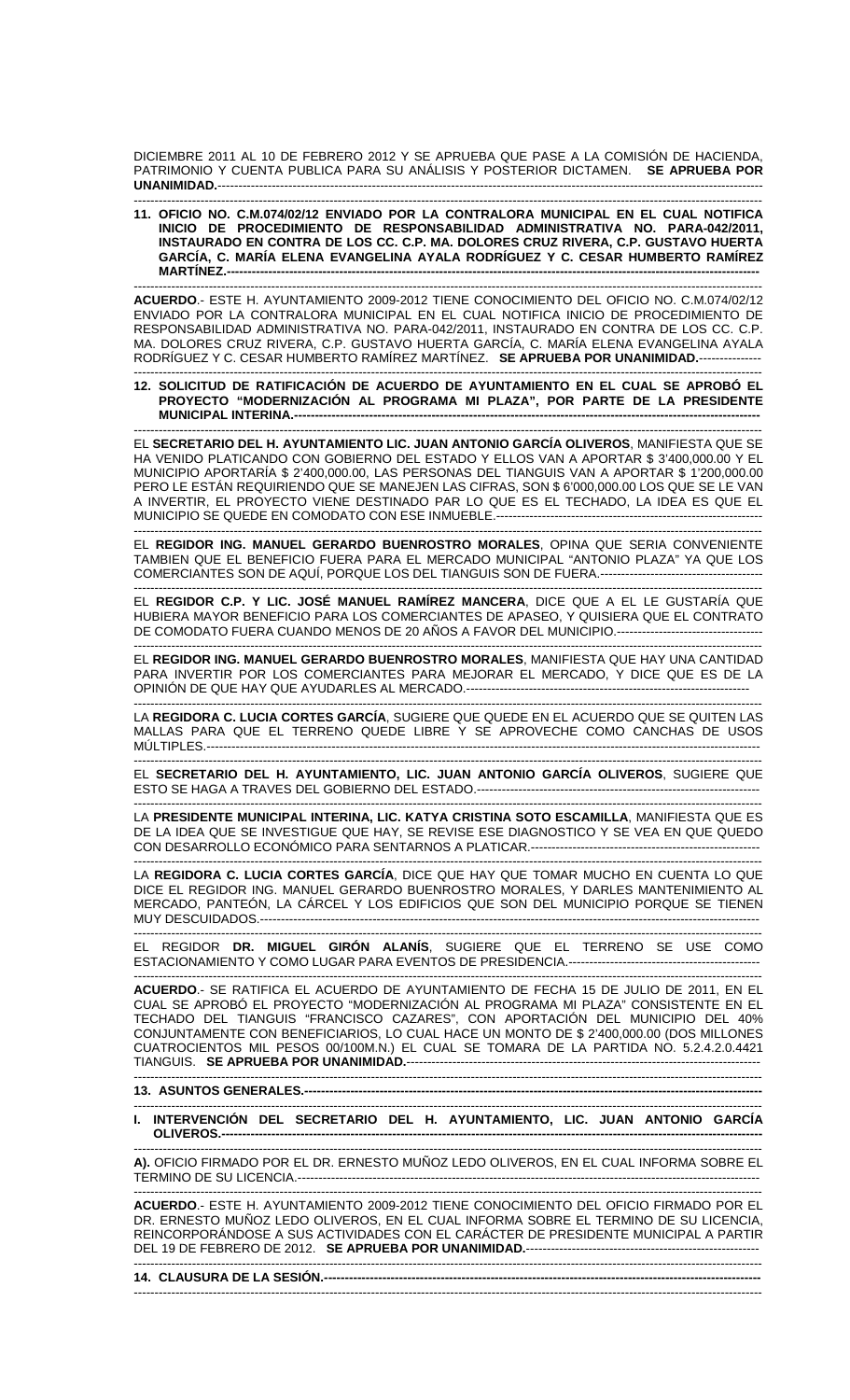DICIEMBRE 2011 AL 10 DE FEBRERO 2012 Y SE APRUEBA QUE PASE A LA COMISIÓN DE HACIENDA, PATRIMONIO Y CUENTA PUBLICA PARA SU ANÁLISIS Y POSTERIOR DICTAMEN. **SE APRUEBA POR UNANIMIDAD.**-----------------------------------------------------------------------------------------------------------------------------------

-------------------------------------------------------------------------------------------------------------------------------------------------------

**11. OFICIO NO. C.M.074/02/12 ENVIADO POR LA CONTRALORA MUNICIPAL EN EL CUAL NOTIFICA INICIO DE PROCEDIMIENTO DE RESPONSABILIDAD ADMINISTRATIVA NO. PARA-042/2011, INSTAURADO EN CONTRA DE LOS CC. C.P. MA. DOLORES CRUZ RIVERA, C.P. GUSTAVO HUERTA GARCÍA, C. MARÍA ELENA EVANGELINA AYALA RODRÍGUEZ Y C. CESAR HUMBERTO RAMÍREZ MARTÍNEZ.--------------------------------------------------------------------------------------------------------------------------------** 

------------------------------------------------------------------------------------------------------------------------------------------------------- **ACUERDO**.- ESTE H. AYUNTAMIENTO 2009-2012 TIENE CONOCIMIENTO DEL OFICIO NO. C.M.074/02/12 ENVIADO POR LA CONTRALORA MUNICIPAL EN EL CUAL NOTIFICA INICIO DE PROCEDIMIENTO DE RESPONSABILIDAD ADMINISTRATIVA NO. PARA-042/2011, INSTAURADO EN CONTRA DE LOS CC. C.P. MA. DOLORES CRUZ RIVERA, C.P. GUSTAVO HUERTA GARCÍA, C. MARÍA ELENA EVANGELINA AYALA RODRÍGUEZ Y C. CESAR HUMBERTO RAMÍREZ MARTÍNEZ. **SE APRUEBA POR UNANIMIDAD.**---------------

## ------------------------------------------------------------------------------------------------------------------------------------------------------- **12. SOLICITUD DE RATIFICACIÓN DE ACUERDO DE AYUNTAMIENTO EN EL CUAL SE APROBÓ EL PROYECTO "MODERNIZACIÓN AL PROGRAMA MI PLAZA", POR PARTE DE LA PRESIDENTE MUNICIPAL INTERINA.----**

------------------------------------------------------------------------------------------------------------------------------------------------------- EL **SECRETARIO DEL H. AYUNTAMIENTO LIC. JUAN ANTONIO GARCÍA OLIVEROS**, MANIFIESTA QUE SE HA VENIDO PLATICANDO CON GOBIERNO DEL ESTADO Y ELLOS VAN A APORTAR \$ 3'400,000.00 Y EL MUNICIPIO APORTARÍA \$ 2'400,000.00, LAS PERSONAS DEL TIANGUIS VAN A APORTAR \$ 1'200,000.00 PERO LE ESTÁN REQUIRIENDO QUE SE MANEJEN LAS CIFRAS, SON \$ 6'000,000.00 LOS QUE SE LE VAN A INVERTIR, EL PROYECTO VIENE DESTINADO PAR LO QUE ES EL TECHADO, LA IDEA ES QUE EL MUNICIPIO SE QUEDE EN COMODATO CON ESE INMUEBLE.--------------------------------

------------------------------------------------------------------------------------------------------------------------------------------------------- EL **REGIDOR ING. MANUEL GERARDO BUENROSTRO MORALES**, OPINA QUE SERIA CONVENIENTE TAMBIEN QUE EL BENEFICIO FUERA PARA EL MERCADO MUNICIPAL "ANTONIO PLAZA" YA QUE LOS COMERCIANTES SON DE AQUÍ, PORQUE LOS DEL TIANGUIS SON DE FUERA.---------------------------------------

------------------------------------------------------------------------------------------------------------------------------------------------------- EL **REGIDOR C.P. Y LIC. JOSÉ MANUEL RAMÍREZ MANCERA**, DICE QUE A EL LE GUSTARÍA QUE HUBIERA MAYOR BENEFICIO PARA LOS COMERCIANTES DE APASEO, Y QUISIERA QUE EL CONTRATO DE COMODATO FUERA CUANDO MENOS DE 20 AÑOS A FAVOR DEL MUNICIPIO.------------------------------

------------------------------------------------------------------------------------------------------------------------------------------------------- EL **REGIDOR ING. MANUEL GERARDO BUENROSTRO MORALES**, MANIFIESTA QUE HAY UNA CANTIDAD PARA INVERTIR POR LOS COMERCIANTES PARA MEJORAR EL MERCADO, Y DICE QUE ES DE LA OPINIÓN DE QUE HAY QUE AYUDARLES AL MERCADO.--------------------------------------------------------------------

------------------------------------------------------------------------------------------------------------------------------------------------------- LA **REGIDORA C. LUCIA CORTES GARCÍA**, SUGIERE QUE QUEDE EN EL ACUERDO QUE SE QUITEN LAS MALLAS PARA QUE EL TERRENO QUEDE LIBRE Y SE APROVECHE COMO CANCHAS DE USOS MÚLTIPLES.-------------------------------------------------------------------------------------------------------------------------------------

EL **SECRETARIO DEL H. AYUNTAMIENTO, LIC. JUAN ANTONIO GARCÍA OLIVEROS**, SUGIERE QUE ESTO SE HAGA A TRAVES DEL GOBIERNO DEL ESTADO.--------------------------------------------------------------------

------------------------------------------------------------------------------------------------------------------------------------------------------- LA **PRESIDENTE MUNICIPAL INTERINA, LIC. KATYA CRISTINA SOTO ESCAMILLA**, MANIFIESTA QUE ES DE LA IDEA QUE SE INVESTIGUE QUE HAY, SE REVISE ESE DIAGNOSTICO Y SE VEA EN QUE QUEDO CON DESARROLLO ECONÓMICO PARA SENTARNOS A PLATICAR.-------------------------------------------------------

------------------------------------------------------------------------------------------------------------------------------------------------------- LA **REGIDORA C. LUCIA CORTES GARCÍA**, DICE QUE HAY QUE TOMAR MUCHO EN CUENTA LO QUE DICE EL REGIDOR ING. MANUEL GERARDO BUENROSTRO MORALES, Y DARLES MANTENIMIENTO AL MERCADO, PANTEÓN, LA CÁRCEL Y LOS EDIFICIOS QUE SON DEL MUNICIPIO PORQUE SE TIENEN MUY DESCUIDADOS.------------------------------------------------------------------------------------------------------------------------

------------------------------------------------------------------------------------------------------------------------------------------------------- EL REGIDOR **DR. MIGUEL GIRÓN ALANÍS**, SUGIERE QUE EL TERRENO SE USE COMO ESTACIONAMIENTO Y COMO LUGAR PARA EVENTOS DE PRESIDENCIA.----------------------------------------------

------------------------------------------------------------------------------------------------------------------------------------------------------- **ACUERDO**.- SE RATIFICA EL ACUERDO DE AYUNTAMIENTO DE FECHA 15 DE JULIO DE 2011, EN EL CUAL SE APROBÓ EL PROYECTO "MODERNIZACIÓN AL PROGRAMA MI PLAZA" CONSISTENTE EN EL TECHADO DEL TIANGUIS "FRANCISCO CAZARES", CON APORTACIÓN DEL MUNICIPIO DEL 40% CONJUNTAMENTE CON BENEFICIARIOS, LO CUAL HACE UN MONTO DE \$ 2'400,000.00 (DOS MILLONES CUATROCIENTOS MIL PESOS 00/100M.N.) EL CUAL SE TOMARA DE LA PARTIDA NO. 5.2.4.2.0.4421 TIANGUIS. **SE APRUEBA POR UNANIMIDAD.**-------------------------------------------------------------------------------------

-------------------------------------------------------------------------------------------------------------------------------------------------------

## **13. ASUNTOS GENERALES.----**

------------------------------------------------------------------------------------------------------------------------------------------------------- INTERVENCIÓN DEL SECRETARIO DEL H. AYUNTAMIENTO, LIC. JUAN ANTONIO GARCÍA **OLIVEROS.----------------------------------------------------------------------------------------------------------------------------------** 

------------------------------------------------------------------------------------------------------------------------------------------------------- **A).** OFICIO FIRMADO POR EL DR. ERNESTO MUÑOZ LEDO OLIVEROS, EN EL CUAL INFORMA SOBRE EL TERMINO DE SU LICENCIA.---------------------------------------------------------------------------------------------------------------

------------------------------------------------------------------------------------------------------------------------------------------------------- **ACUERDO**.- ESTE H. AYUNTAMIENTO 2009-2012 TIENE CONOCIMIENTO DEL OFICIO FIRMADO POR EL DR. ERNESTO MUÑOZ LEDO OLIVEROS, EN EL CUAL INFORMA SOBRE EL TERMINO DE SU LICENCIA, REINCORPORÁNDOSE A SUS ACTIVIDADES CON EL CARÁCTER DE PRESIDENTE MUNICIPAL A PARTIR DEL 19 DE FEBRERO DE 2012. **SE APRUEBA POR UNANIMIDAD.**--------------------------------------------------------

------------------------------------------------------------------------------------------------------------------------------------------------------- 14. CLAUSURA DE LA SESIÓN.-----------------------------------------------------------------------------------------------------------------------------------------------------------------